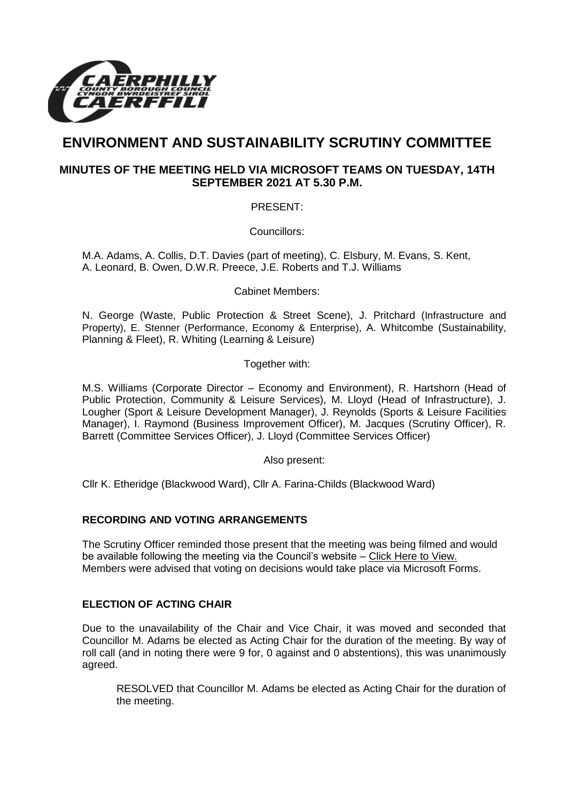

# **ENVIRONMENT AND SUSTAINABILITY SCRUTINY COMMITTEE**

# **MINUTES OF THE MEETING HELD VIA MICROSOFT TEAMS ON TUESDAY, 14TH SEPTEMBER 2021 AT 5.30 P.M.**

PRESENT:

Councillors:

M.A. Adams, A. Collis, D.T. Davies (part of meeting), C. Elsbury, M. Evans, S. Kent, A. Leonard, B. Owen, D.W.R. Preece, J.E. Roberts and T.J. Williams

Cabinet Members:

N. George (Waste, Public Protection & Street Scene), J. Pritchard (Infrastructure and Property), E. Stenner (Performance, Economy & Enterprise), A. Whitcombe (Sustainability, Planning & Fleet), R. Whiting (Learning & Leisure)

Together with:

M.S. Williams (Corporate Director – Economy and Environment), R. Hartshorn (Head of Public Protection, Community & Leisure Services), M. Lloyd (Head of Infrastructure), J. Lougher (Sport & Leisure Development Manager), J. Reynolds (Sports & Leisure Facilities Manager), I. Raymond (Business Improvement Officer), M. Jacques (Scrutiny Officer), R. Barrett (Committee Services Officer), J. Lloyd (Committee Services Officer)

Also present:

Cllr K. Etheridge (Blackwood Ward), Cllr A. Farina-Childs (Blackwood Ward)

### **RECORDING AND VOTING ARRANGEMENTS**

The Scrutiny Officer reminded those present that the meeting was being filmed and would be available following the meeting via the Council's website – [Click Here to View.](https://www.caerphilly.gov.uk/My-Council/Meetings,-agendas,-minutes-and-reports/Council-meetings?lang=en-GB)  Members were advised that voting on decisions would take place via Microsoft Forms.

### **ELECTION OF ACTING CHAIR**

Due to the unavailability of the Chair and Vice Chair, it was moved and seconded that Councillor M. Adams be elected as Acting Chair for the duration of the meeting. By way of roll call (and in noting there were 9 for, 0 against and 0 abstentions), this was unanimously agreed.

RESOLVED that Councillor M. Adams be elected as Acting Chair for the duration of the meeting.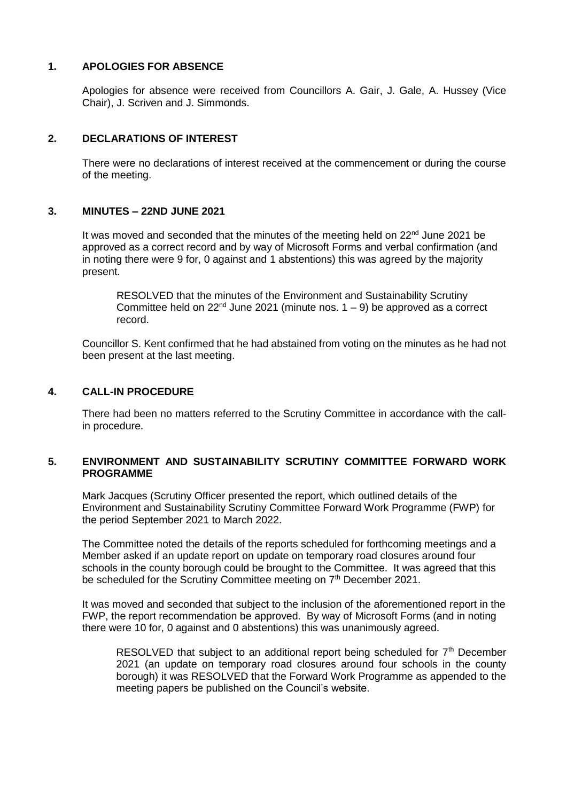#### **1. APOLOGIES FOR ABSENCE**

Apologies for absence were received from Councillors A. Gair, J. Gale, A. Hussey (Vice Chair), J. Scriven and J. Simmonds.

#### **2. DECLARATIONS OF INTEREST**

There were no declarations of interest received at the commencement or during the course of the meeting.

#### **3. MINUTES – 22ND JUNE 2021**

It was moved and seconded that the minutes of the meeting held on  $22<sup>nd</sup>$  June 2021 be approved as a correct record and by way of Microsoft Forms and verbal confirmation (and in noting there were 9 for, 0 against and 1 abstentions) this was agreed by the majority present.

RESOLVED that the minutes of the Environment and Sustainability Scrutiny Committee held on 22<sup>nd</sup> June 2021 (minute nos.  $1 - 9$ ) be approved as a correct record.

Councillor S. Kent confirmed that he had abstained from voting on the minutes as he had not been present at the last meeting.

#### **4. CALL-IN PROCEDURE**

There had been no matters referred to the Scrutiny Committee in accordance with the callin procedure.

### **5. ENVIRONMENT AND SUSTAINABILITY SCRUTINY COMMITTEE FORWARD WORK PROGRAMME**

Mark Jacques (Scrutiny Officer presented the report, which outlined details of the Environment and Sustainability Scrutiny Committee Forward Work Programme (FWP) for the period September 2021 to March 2022.

The Committee noted the details of the reports scheduled for forthcoming meetings and a Member asked if an update report on update on temporary road closures around four schools in the county borough could be brought to the Committee. It was agreed that this be scheduled for the Scrutiny Committee meeting on 7<sup>th</sup> December 2021.

It was moved and seconded that subject to the inclusion of the aforementioned report in the FWP, the report recommendation be approved. By way of Microsoft Forms (and in noting there were 10 for, 0 against and 0 abstentions) this was unanimously agreed.

RESOLVED that subject to an additional report being scheduled for  $7<sup>th</sup>$  December 2021 (an update on temporary road closures around four schools in the county borough) it was RESOLVED that the Forward Work Programme as appended to the meeting papers be published on the Council's website.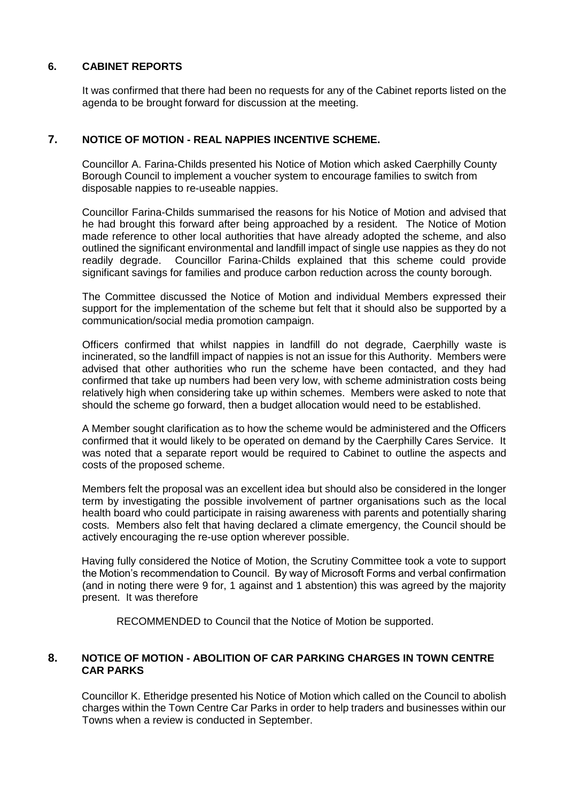# **6. CABINET REPORTS**

It was confirmed that there had been no requests for any of the Cabinet reports listed on the agenda to be brought forward for discussion at the meeting.

### **7. NOTICE OF MOTION - REAL NAPPIES INCENTIVE SCHEME.**

Councillor A. Farina-Childs presented his Notice of Motion which asked Caerphilly County Borough Council to implement a voucher system to encourage families to switch from disposable nappies to re-useable nappies.

Councillor Farina-Childs summarised the reasons for his Notice of Motion and advised that he had brought this forward after being approached by a resident. The Notice of Motion made reference to other local authorities that have already adopted the scheme, and also outlined the significant environmental and landfill impact of single use nappies as they do not readily degrade. Councillor Farina-Childs explained that this scheme could provide significant savings for families and produce carbon reduction across the county borough.

The Committee discussed the Notice of Motion and individual Members expressed their support for the implementation of the scheme but felt that it should also be supported by a communication/social media promotion campaign.

Officers confirmed that whilst nappies in landfill do not degrade, Caerphilly waste is incinerated, so the landfill impact of nappies is not an issue for this Authority. Members were advised that other authorities who run the scheme have been contacted, and they had confirmed that take up numbers had been very low, with scheme administration costs being relatively high when considering take up within schemes. Members were asked to note that should the scheme go forward, then a budget allocation would need to be established.

A Member sought clarification as to how the scheme would be administered and the Officers confirmed that it would likely to be operated on demand by the Caerphilly Cares Service. It was noted that a separate report would be required to Cabinet to outline the aspects and costs of the proposed scheme.

Members felt the proposal was an excellent idea but should also be considered in the longer term by investigating the possible involvement of partner organisations such as the local health board who could participate in raising awareness with parents and potentially sharing costs. Members also felt that having declared a climate emergency, the Council should be actively encouraging the re-use option wherever possible.

Having fully considered the Notice of Motion, the Scrutiny Committee took a vote to support the Motion's recommendation to Council. By way of Microsoft Forms and verbal confirmation (and in noting there were 9 for, 1 against and 1 abstention) this was agreed by the majority present. It was therefore

RECOMMENDED to Council that the Notice of Motion be supported.

## **8. NOTICE OF MOTION - ABOLITION OF CAR PARKING CHARGES IN TOWN CENTRE CAR PARKS**

Councillor K. Etheridge presented his Notice of Motion which called on the Council to abolish charges within the Town Centre Car Parks in order to help traders and businesses within our Towns when a review is conducted in September.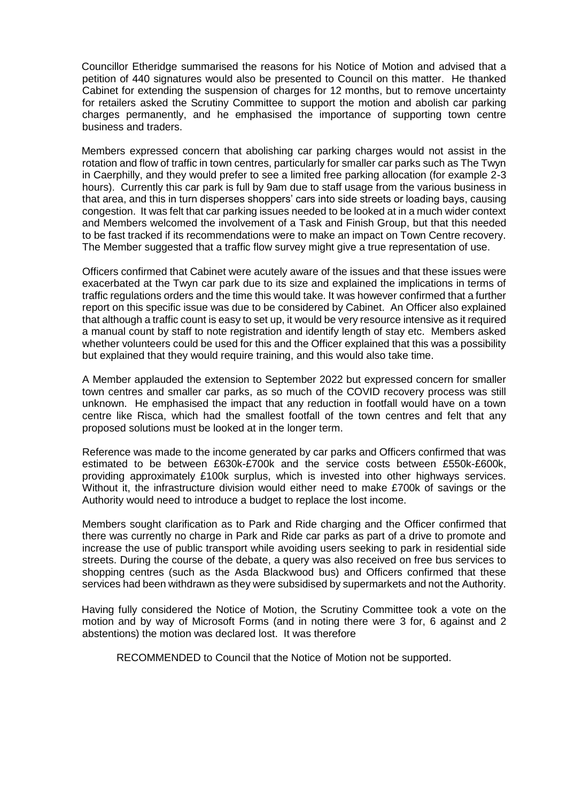Councillor Etheridge summarised the reasons for his Notice of Motion and advised that a petition of 440 signatures would also be presented to Council on this matter. He thanked Cabinet for extending the suspension of charges for 12 months, but to remove uncertainty for retailers asked the Scrutiny Committee to support the motion and abolish car parking charges permanently, and he emphasised the importance of supporting town centre business and traders.

Members expressed concern that abolishing car parking charges would not assist in the rotation and flow of traffic in town centres, particularly for smaller car parks such as The Twyn in Caerphilly, and they would prefer to see a limited free parking allocation (for example 2-3 hours). Currently this car park is full by 9am due to staff usage from the various business in that area, and this in turn disperses shoppers' cars into side streets or loading bays, causing congestion. It was felt that car parking issues needed to be looked at in a much wider context and Members welcomed the involvement of a Task and Finish Group, but that this needed to be fast tracked if its recommendations were to make an impact on Town Centre recovery. The Member suggested that a traffic flow survey might give a true representation of use.

Officers confirmed that Cabinet were acutely aware of the issues and that these issues were exacerbated at the Twyn car park due to its size and explained the implications in terms of traffic regulations orders and the time this would take. It was however confirmed that a further report on this specific issue was due to be considered by Cabinet. An Officer also explained that although a traffic count is easy to set up, it would be very resource intensive as it required a manual count by staff to note registration and identify length of stay etc. Members asked whether volunteers could be used for this and the Officer explained that this was a possibility but explained that they would require training, and this would also take time.

A Member applauded the extension to September 2022 but expressed concern for smaller town centres and smaller car parks, as so much of the COVID recovery process was still unknown. He emphasised the impact that any reduction in footfall would have on a town centre like Risca, which had the smallest footfall of the town centres and felt that any proposed solutions must be looked at in the longer term.

Reference was made to the income generated by car parks and Officers confirmed that was estimated to be between £630k-£700k and the service costs between £550k-£600k, providing approximately £100k surplus, which is invested into other highways services. Without it, the infrastructure division would either need to make £700k of savings or the Authority would need to introduce a budget to replace the lost income.

Members sought clarification as to Park and Ride charging and the Officer confirmed that there was currently no charge in Park and Ride car parks as part of a drive to promote and increase the use of public transport while avoiding users seeking to park in residential side streets. During the course of the debate, a query was also received on free bus services to shopping centres (such as the Asda Blackwood bus) and Officers confirmed that these services had been withdrawn as they were subsidised by supermarkets and not the Authority.

Having fully considered the Notice of Motion, the Scrutiny Committee took a vote on the motion and by way of Microsoft Forms (and in noting there were 3 for, 6 against and 2 abstentions) the motion was declared lost. It was therefore

RECOMMENDED to Council that the Notice of Motion not be supported.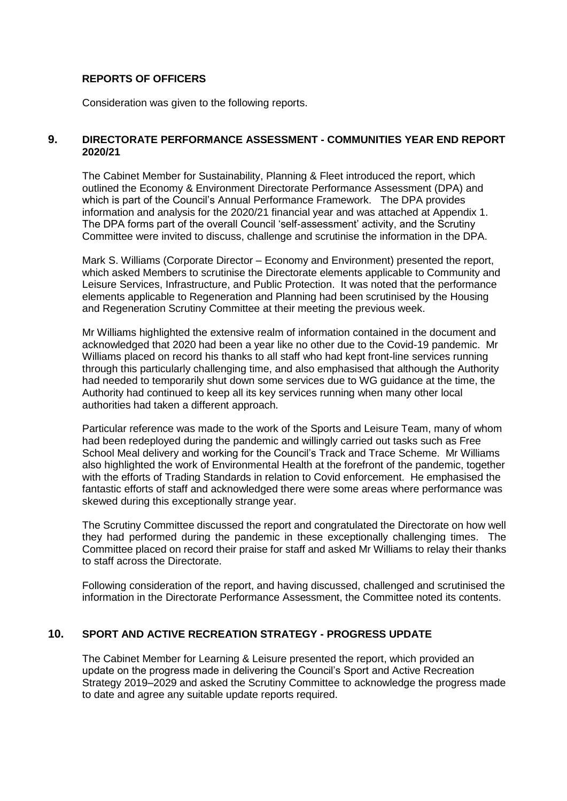### **REPORTS OF OFFICERS**

Consideration was given to the following reports.

#### **9. DIRECTORATE PERFORMANCE ASSESSMENT - COMMUNITIES YEAR END REPORT 2020/21**

The Cabinet Member for Sustainability, Planning & Fleet introduced the report, which outlined the Economy & Environment Directorate Performance Assessment (DPA) and which is part of the Council's Annual Performance Framework. The DPA provides information and analysis for the 2020/21 financial year and was attached at Appendix 1. The DPA forms part of the overall Council 'self-assessment' activity, and the Scrutiny Committee were invited to discuss, challenge and scrutinise the information in the DPA.

Mark S. Williams (Corporate Director – Economy and Environment) presented the report, which asked Members to scrutinise the Directorate elements applicable to Community and Leisure Services, Infrastructure, and Public Protection. It was noted that the performance elements applicable to Regeneration and Planning had been scrutinised by the Housing and Regeneration Scrutiny Committee at their meeting the previous week.

Mr Williams highlighted the extensive realm of information contained in the document and acknowledged that 2020 had been a year like no other due to the Covid-19 pandemic. Mr Williams placed on record his thanks to all staff who had kept front-line services running through this particularly challenging time, and also emphasised that although the Authority had needed to temporarily shut down some services due to WG guidance at the time, the Authority had continued to keep all its key services running when many other local authorities had taken a different approach.

Particular reference was made to the work of the Sports and Leisure Team, many of whom had been redeployed during the pandemic and willingly carried out tasks such as Free School Meal delivery and working for the Council's Track and Trace Scheme. Mr Williams also highlighted the work of Environmental Health at the forefront of the pandemic, together with the efforts of Trading Standards in relation to Covid enforcement. He emphasised the fantastic efforts of staff and acknowledged there were some areas where performance was skewed during this exceptionally strange year.

The Scrutiny Committee discussed the report and congratulated the Directorate on how well they had performed during the pandemic in these exceptionally challenging times. The Committee placed on record their praise for staff and asked Mr Williams to relay their thanks to staff across the Directorate.

Following consideration of the report, and having discussed, challenged and scrutinised the information in the Directorate Performance Assessment, the Committee noted its contents.

## **10. SPORT AND ACTIVE RECREATION STRATEGY - PROGRESS UPDATE**

The Cabinet Member for Learning & Leisure presented the report, which provided an update on the progress made in delivering the Council's Sport and Active Recreation Strategy 2019–2029 and asked the Scrutiny Committee to acknowledge the progress made to date and agree any suitable update reports required.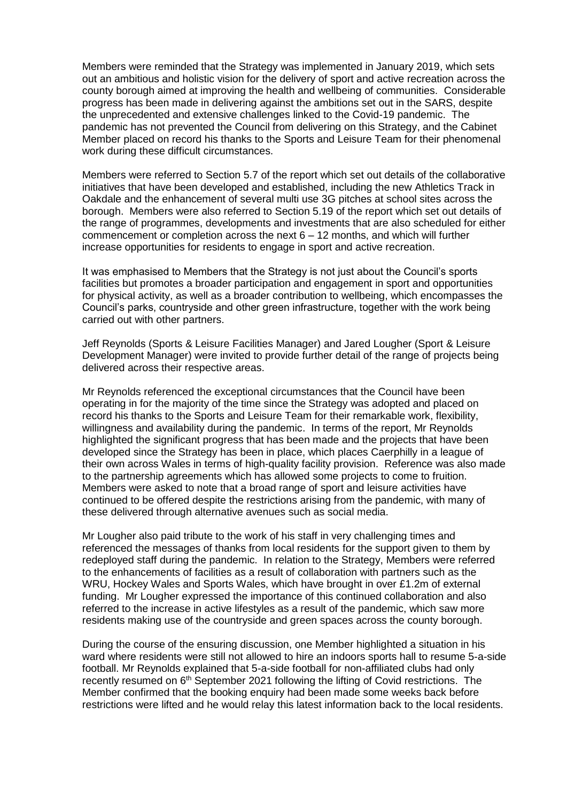Members were reminded that the Strategy was implemented in January 2019, which sets out an ambitious and holistic vision for the delivery of sport and active recreation across the county borough aimed at improving the health and wellbeing of communities. Considerable progress has been made in delivering against the ambitions set out in the SARS, despite the unprecedented and extensive challenges linked to the Covid-19 pandemic. The pandemic has not prevented the Council from delivering on this Strategy, and the Cabinet Member placed on record his thanks to the Sports and Leisure Team for their phenomenal work during these difficult circumstances.

Members were referred to Section 5.7 of the report which set out details of the collaborative initiatives that have been developed and established, including the new Athletics Track in Oakdale and the enhancement of several multi use 3G pitches at school sites across the borough. Members were also referred to Section 5.19 of the report which set out details of the range of programmes, developments and investments that are also scheduled for either commencement or completion across the next  $6 - 12$  months, and which will further increase opportunities for residents to engage in sport and active recreation.

It was emphasised to Members that the Strategy is not just about the Council's sports facilities but promotes a broader participation and engagement in sport and opportunities for physical activity, as well as a broader contribution to wellbeing, which encompasses the Council's parks, countryside and other green infrastructure, together with the work being carried out with other partners.

Jeff Reynolds (Sports & Leisure Facilities Manager) and Jared Lougher (Sport & Leisure Development Manager) were invited to provide further detail of the range of projects being delivered across their respective areas.

Mr Reynolds referenced the exceptional circumstances that the Council have been operating in for the majority of the time since the Strategy was adopted and placed on record his thanks to the Sports and Leisure Team for their remarkable work, flexibility, willingness and availability during the pandemic. In terms of the report, Mr Reynolds highlighted the significant progress that has been made and the projects that have been developed since the Strategy has been in place, which places Caerphilly in a league of their own across Wales in terms of high-quality facility provision. Reference was also made to the partnership agreements which has allowed some projects to come to fruition. Members were asked to note that a broad range of sport and leisure activities have continued to be offered despite the restrictions arising from the pandemic, with many of these delivered through alternative avenues such as social media.

Mr Lougher also paid tribute to the work of his staff in very challenging times and referenced the messages of thanks from local residents for the support given to them by redeployed staff during the pandemic. In relation to the Strategy, Members were referred to the enhancements of facilities as a result of collaboration with partners such as the WRU, Hockey Wales and Sports Wales, which have brought in over £1.2m of external funding. Mr Lougher expressed the importance of this continued collaboration and also referred to the increase in active lifestyles as a result of the pandemic, which saw more residents making use of the countryside and green spaces across the county borough.

During the course of the ensuring discussion, one Member highlighted a situation in his ward where residents were still not allowed to hire an indoors sports hall to resume 5-a-side football. Mr Reynolds explained that 5-a-side football for non-affiliated clubs had only recently resumed on 6<sup>th</sup> September 2021 following the lifting of Covid restrictions. The Member confirmed that the booking enquiry had been made some weeks back before restrictions were lifted and he would relay this latest information back to the local residents.